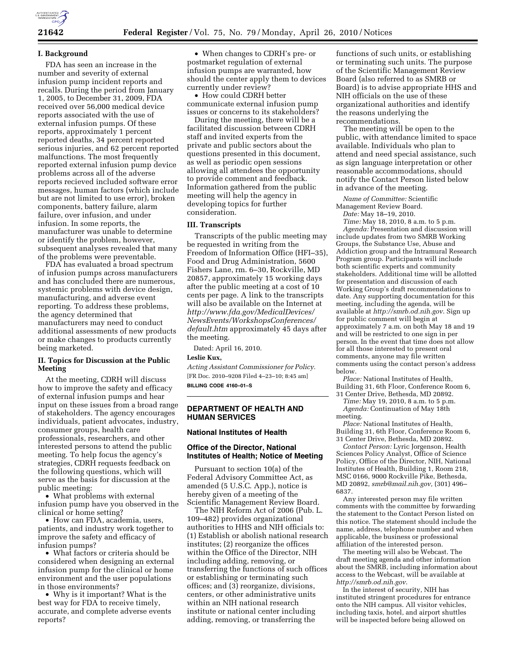

### **I. Background**

FDA has seen an increase in the number and severity of external infusion pump incident reports and recalls. During the period from January 1, 2005, to December 31, 2009, FDA received over 56,000 medical device reports associated with the use of external infusion pumps. Of these reports, approximately 1 percent reported deaths, 34 percent reported serious injuries, and 62 percent reported malfunctions. The most frequently reported external infusion pump device problems across all of the adverse reports recieved included software error messages, human factors (which include but are not limited to use error), broken components, battery failure, alarm failure, over infusion, and under infusion. In some reports, the manufacturer was unable to determine or identify the problem, however, subsequent analyses revealed that many of the problems were preventable.

FDA has evaluated a broad spectrum of infusion pumps across manufacturers and has concluded there are numerous, systemic problems with device design, manufacturing, and adverse event reporting. To address these problems, the agency determined that manufacturers may need to conduct additional assessments of new products or make changes to products currently being marketed.

## **II. Topics for Discussion at the Public Meeting**

At the meeting, CDRH will discuss how to improve the safety and efficacy of external infusion pumps and hear input on these issues from a broad range of stakeholders. The agency encourages individuals, patient advocates, industry, consumer groups, health care professionals, researchers, and other interested persons to attend the public meeting. To help focus the agency's strategies, CDRH requests feedback on the following questions, which will serve as the basis for discussion at the public meeting:

• What problems with external infusion pump have you observed in the clinical or home setting?

• How can FDA, academia, users, patients, and industry work together to improve the safety and efficacy of infusion pumps?

• What factors or criteria should be considered when designing an external infusion pump for the clinical or home environment and the user populations in those environments?

• Why is it important? What is the best way for FDA to receive timely, accurate, and complete adverse events reports?

• When changes to CDRH's pre- or postmarket regulation of external infusion pumps are warranted, how should the center apply them to devices currently under review?

• How could CDRH better communicate external infusion pump issues or concerns to its stakeholders?

During the meeting, there will be a facilitated discussion between CDRH staff and invited experts from the private and public sectors about the questions presented in this document, as well as periodic open sessions allowing all attendees the opportunity to provide comment and feedback. Information gathered from the public meeting will help the agency in developing topics for further consideration.

## **III. Transcripts**

Transcripts of the public meeting may be requested in writing from the Freedom of Information Office (HFI–35), Food and Drug Administration, 5600 Fishers Lane, rm. 6–30, Rockville, MD 20857, approximately 15 working days after the public meeting at a cost of 10 cents per page. A link to the transcripts will also be available on the Internet at *http://www.fda.gov/MedicalDevices/ NewsEvents/WorkshopsConferences/ default.htm* approximately 45 days after the meeting.

Dated: April 16, 2010.

#### **Leslie Kux,**

*Acting Assistant Commissioner for Policy.*  [FR Doc. 2010–9208 Filed 4–23–10; 8:45 am]

**BILLING CODE 4160–01–S** 

## **DEPARTMENT OF HEALTH AND HUMAN SERVICES**

#### **National Institutes of Health**

### **Office of the Director, National Institutes of Health; Notice of Meeting**

Pursuant to section 10(a) of the Federal Advisory Committee Act, as amended (5 U.S.C. App.), notice is hereby given of a meeting of the Scientific Management Review Board.

The NIH Reform Act of 2006 (Pub. L. 109–482) provides organizational authorities to HHS and NIH officials to: (1) Establish or abolish national research institutes; (2) reorganize the offices within the Office of the Director, NIH including adding, removing, or transferring the functions of such offices or establishing or terminating such offices; and (3) reorganize, divisions, centers, or other administrative units within an NIH national research institute or national center including adding, removing, or transferring the

functions of such units, or establishing or terminating such units. The purpose of the Scientific Management Review Board (also referred to as SMRB or Board) is to advise appropriate HHS and NIH officials on the use of these organizational authorities and identify the reasons underlying the recommendations.

The meeting will be open to the public, with attendance limited to space available. Individuals who plan to attend and need special assistance, such as sign language interpretation or other reasonable accommodations, should notify the Contact Person listed below in advance of the meeting.

*Name of Committee:* Scientific Management Review Board.

*Date:* May 18–19, 2010.

*Time:* May 18, 2010, 8 a.m. to 5 p.m. *Agenda:* Presentation and discussion will include updates from two SMRB Working Groups, the Substance Use, Abuse and Addiction group and the Intramural Research Program group. Participants will include both scientific experts and community stakeholders. Additional time will be allotted for presentation and discussion of each Working Group's draft recommendations to date. Any supporting documentation for this meeting, including the agenda, will be available at *http://smrb.od.nih.gov*. Sign up for public comment will begin at approximately 7 a.m. on both May 18 and 19 and will be restricted to one sign in per person. In the event that time does not allow for all those interested to present oral comments, anyone may file written comments using the contact person's address below.

*Place:* National Institutes of Health, Building 31, 6th Floor, Conference Room 6, 31 Center Drive, Bethesda, MD 20892.

*Time:* May 19, 2010, 8 a.m. to 5 p.m. *Agenda:* Continuation of May 18th meeting.

*Place:* National Institutes of Health, Building 31, 6th Floor, Conference Room 6, 31 Center Drive, Bethesda, MD 20892.

*Contact Person:* Lyric Jorgenson, Health Sciences Policy Analyst, Office of Science Policy, Office of the Director, NIH, National Institutes of Health, Building 1, Room 218, MSC 0166, 9000 Rockville Pike, Bethesda, MD 20892, *smrb@mail.nih.gov,* (301) 496– 6837.

Any interested person may file written comments with the committee by forwarding the statement to the Contact Person listed on this notice. The statement should include the name, address, telephone number and when applicable, the business or professional affiliation of the interested person.

The meeting will also be Webcast. The draft meeting agenda and other information about the SMRB, including information about access to the Webcast, will be available at *http://smrb.od.nih.gov*.

In the interest of security, NIH has instituted stringent procedures for entrance onto the NIH campus. All visitor vehicles, including taxis, hotel, and airport shuttles will be inspected before being allowed on